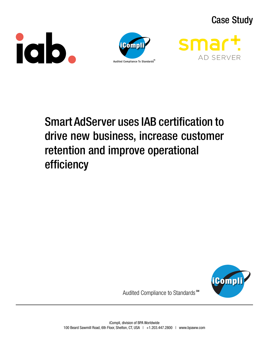# Case Study







# Smart AdServer uses IAB certification to drive new business, increase customer retention and improve operational efficiency



Audited Compliance to Standards<sup>™</sup>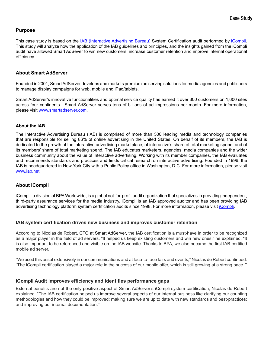# **Purpose**

This case study is based on the **IAB** (Interactive Advertising Bureau) System Certification audit performed by *Compli*. This study will analyze how the application of the IAB guidelines and principles, and the insights gained from the iCompli audit have allowed Smart AdSever to win new customers, increase customer retention and improve internal operational efficiency.

#### **About Smart AdServer**

Founded in 2001, Smart AdServer develops and markets premium ad serving solutions for media agencies and publishers to manage display campaigns for web, mobile and iPad/tablets.

Smart AdServer's innovative functionalities and optimal service quality has earned it over 300 customers on 1,600 sites across four continents. Smart AdServer serves tens of billions of ad impressions per month. For more information, please visit [www.smartadserver.com](http://smartadserver.com/).

#### **About the IAB**

The Interactive Advertising Bureau (IAB) is comprised of more than 500 leading media and technology companies that are responsible for selling 86% of online advertising in the United States. On behalf of its members, the IAB is dedicated to the growth of the interactive advertising marketplace, of interactive's share of total marketing spend, and of its members' share of total marketing spend. The IAB educates marketers, agencies, media companies and the wider business community about the value of interactive advertising. Working with its member companies, the IAB evaluates and recommends standards and practices and fields critical research on interactive advertising. Founded in 1996, the IAB is headquartered in New York City with a Public Policy office in Washington, D.C. For more information, please visit [www.iab.net.](http://www.iab.net)

# **About iCompli**

iCompli, a division of BPA Worldwide, is a global not-for-profit audit organization that specializes in providing independent, third-party assurance services for the media industry. iCompli is an IAB approved auditor and has been providing IAB advertising technology platform system certification audits since 1998. For more information, please visit [iCompli](http://www.bpaww.com/Bpaww_com/Pages/iCompli_Guidelines.aspx).

#### **IAB system certification drives new business and improves customer retention**

According to Nicolas de Robert, CTO at Smart AdServer, the IAB certification is a must-have in order to be recognized as a major player in the field of ad servers. "It helped us keep existing customers and win new ones," he explained. "It is also important to be referenced and visible on the IAB website. Thanks to BPA, we also became the first IAB-certified mobile ad server.

"We used this asset extensively in our communications and at face-to-face fairs and events," Nicolas de Robert continued. "The iCompli certification played a major role in the success of our mobile offer, which is still growing at a strong pace.*"*

#### **iCompli Audit improves efficiency and identifies performance gaps**

External benefits are not the only positive aspect of Smart AdServer's iCompli system certification, Nicolas de Robert explained. "The IAB certification helped us improve several aspects of our internal business like clarifying our counting methodologies and how they could be improved; making sure we are up to date with new standards and best-practices; and improving our internal documentation*."*